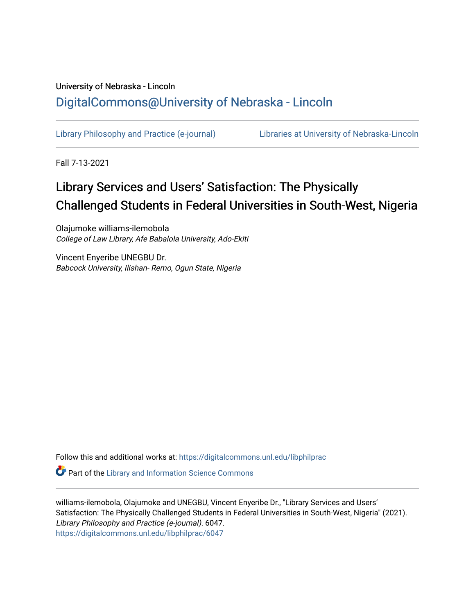## University of Nebraska - Lincoln [DigitalCommons@University of Nebraska - Lincoln](https://digitalcommons.unl.edu/)

[Library Philosophy and Practice \(e-journal\)](https://digitalcommons.unl.edu/libphilprac) [Libraries at University of Nebraska-Lincoln](https://digitalcommons.unl.edu/libraries) 

Fall 7-13-2021

# Library Services and Users' Satisfaction: The Physically Challenged Students in Federal Universities in South-West, Nigeria

Olajumoke williams-ilemobola College of Law Library, Afe Babalola University, Ado-Ekiti

Vincent Enyeribe UNEGBU Dr. Babcock University, Ilishan- Remo, Ogun State, Nigeria

Follow this and additional works at: [https://digitalcommons.unl.edu/libphilprac](https://digitalcommons.unl.edu/libphilprac?utm_source=digitalcommons.unl.edu%2Flibphilprac%2F6047&utm_medium=PDF&utm_campaign=PDFCoverPages) 

**P** Part of the Library and Information Science Commons

williams-ilemobola, Olajumoke and UNEGBU, Vincent Enyeribe Dr., "Library Services and Users' Satisfaction: The Physically Challenged Students in Federal Universities in South-West, Nigeria" (2021). Library Philosophy and Practice (e-journal). 6047. [https://digitalcommons.unl.edu/libphilprac/6047](https://digitalcommons.unl.edu/libphilprac/6047?utm_source=digitalcommons.unl.edu%2Flibphilprac%2F6047&utm_medium=PDF&utm_campaign=PDFCoverPages)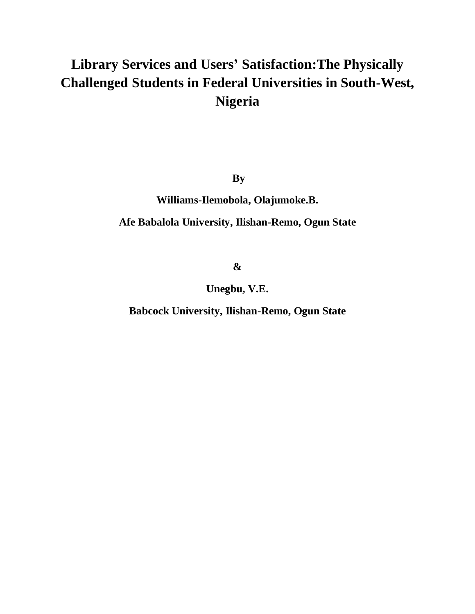# **Library Services and Users' Satisfaction:The Physically Challenged Students in Federal Universities in South-West, Nigeria**

**By** 

**Williams-Ilemobola, Olajumoke.B.**

## **Afe Babalola University, Ilishan-Remo, Ogun State**

**&**

**Unegbu, V.E.**

**Babcock University, Ilishan-Remo, Ogun State**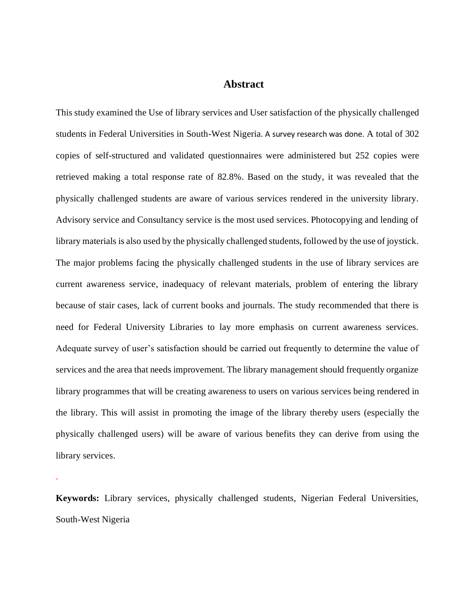#### **Abstract**

This study examined the Use of library services and User satisfaction of the physically challenged students in Federal Universities in South-West Nigeria. A survey research was done. A total of 302 copies of self-structured and validated questionnaires were administered but 252 copies were retrieved making a total response rate of 82.8%. Based on the study, it was revealed that the physically challenged students are aware of various services rendered in the university library. Advisory service and Consultancy service is the most used services. Photocopying and lending of library materials is also used by the physically challenged students, followed by the use of joystick. The major problems facing the physically challenged students in the use of library services are current awareness service, inadequacy of relevant materials, problem of entering the library because of stair cases, lack of current books and journals. The study recommended that there is need for Federal University Libraries to lay more emphasis on current awareness services. Adequate survey of user's satisfaction should be carried out frequently to determine the value of services and the area that needs improvement. The library management should frequently organize library programmes that will be creating awareness to users on various services being rendered in the library. This will assist in promoting the image of the library thereby users (especially the physically challenged users) will be aware of various benefits they can derive from using the library services.

**Keywords:** Library services, physically challenged students, Nigerian Federal Universities, South-West Nigeria

.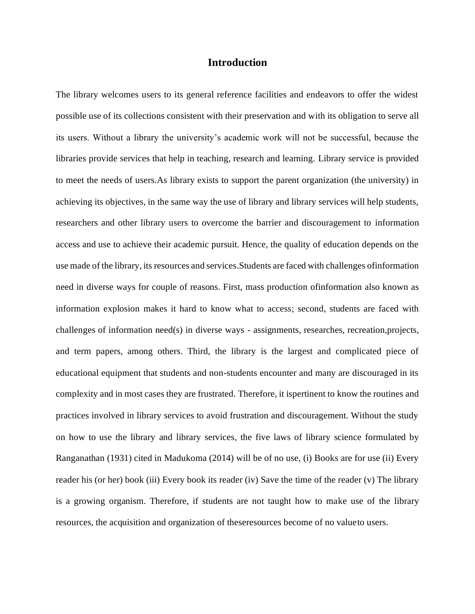## **Introduction**

The library welcomes users to its general reference facilities and endeavors to offer the widest possible use of its collections consistent with their preservation and with its obligation to serve all its users. Without a library the university's academic work will not be successful, because the libraries provide services that help in teaching, research and learning. Library service is provided to meet the needs of users.As library exists to support the parent organization (the university) in achieving its objectives, in the same way the use of library and library services will help students, researchers and other library users to overcome the barrier and discouragement to information access and use to achieve their academic pursuit. Hence, the quality of education depends on the use made of the library, its resources and services.Students are faced with challenges ofinformation need in diverse ways for couple of reasons. First, mass production ofinformation also known as information explosion makes it hard to know what to access; second, students are faced with challenges of information need(s) in diverse ways - assignments, researches, recreation,projects, and term papers, among others. Third, the library is the largest and complicated piece of educational equipment that students and non-students encounter and many are discouraged in its complexity and in most cases they are frustrated. Therefore, it ispertinent to know the routines and practices involved in library services to avoid frustration and discouragement. Without the study on how to use the library and library services, the five laws of library science formulated by Ranganathan (1931) cited in Madukoma (2014) will be of no use, (i) Books are for use (ii) Every reader his (or her) book (iii) Every book its reader (iv) Save the time of the reader (v) The library is a growing organism. Therefore, if students are not taught how to make use of the library resources, the acquisition and organization of theseresources become of no valueto users.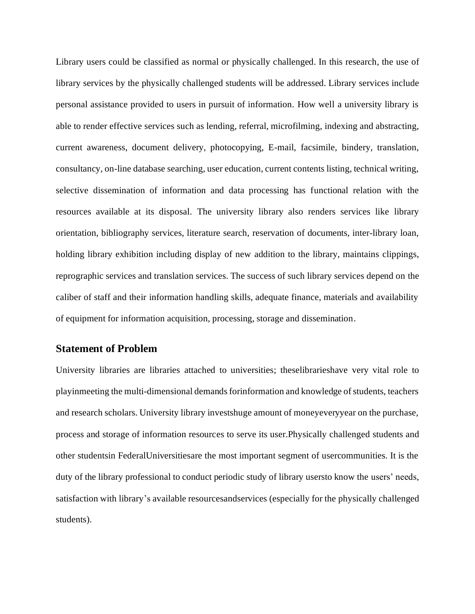Library users could be classified as normal or physically challenged. In this research, the use of library services by the physically challenged students will be addressed. Library services include personal assistance provided to users in pursuit of information. How well a university library is able to render effective services such as lending, referral, microfilming, indexing and abstracting, current awareness, document delivery, photocopying, E-mail, facsimile, bindery, translation, consultancy, on-line database searching, user education, current contents listing, technical writing, selective dissemination of information and data processing has functional relation with the resources available at its disposal. The university library also renders services like library orientation, bibliography services, literature search, reservation of documents, inter-library loan, holding library exhibition including display of new addition to the library, maintains clippings, reprographic services and translation services. The success of such library services depend on the caliber of staff and their information handling skills, adequate finance, materials and availability of equipment for information acquisition, processing, storage and dissemination.

### **Statement of Problem**

University libraries are libraries attached to universities; theselibrarieshave very vital role to playinmeeting the multi-dimensional demands forinformation and knowledge of students, teachers and research scholars. University library investshuge amount of moneyeveryyear on the purchase, process and storage of information resources to serve its user.Physically challenged students and other studentsin FederalUniversitiesare the most important segment of usercommunities. It is the duty of the library professional to conduct periodic study of library usersto know the users' needs, satisfaction with library's available resourcesandservices (especially for the physically challenged students).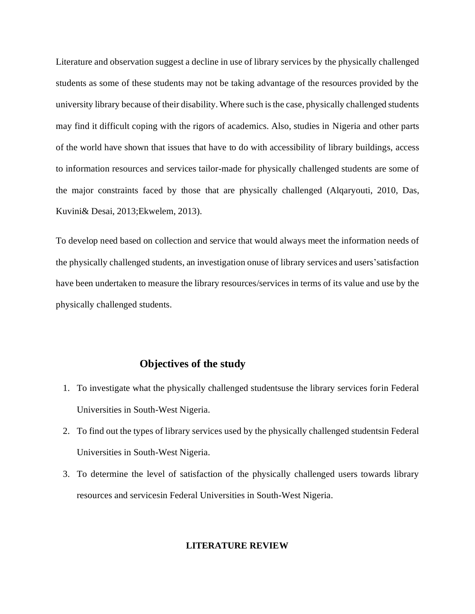Literature and observation suggest a decline in use of library services by the physically challenged students as some of these students may not be taking advantage of the resources provided by the university library because of their disability. Where such is the case, physically challenged students may find it difficult coping with the rigors of academics. Also, studies in Nigeria and other parts of the world have shown that issues that have to do with accessibility of library buildings, access to information resources and services tailor-made for physically challenged students are some of the major constraints faced by those that are physically challenged (Alqaryouti, 2010, Das, Kuvini& Desai, 2013;Ekwelem, 2013).

To develop need based on collection and service that would always meet the information needs of the physically challenged students, an investigation onuse of library services and users'satisfaction have been undertaken to measure the library resources/services in terms of its value and use by the physically challenged students.

## **Objectives of the study**

- 1. To investigate what the physically challenged studentsuse the library services forin Federal Universities in South-West Nigeria.
- 2. To find out the types of library services used by the physically challenged studentsin Federal Universities in South-West Nigeria.
- 3. To determine the level of satisfaction of the physically challenged users towards library resources and servicesin Federal Universities in South-West Nigeria.

#### **LITERATURE REVIEW**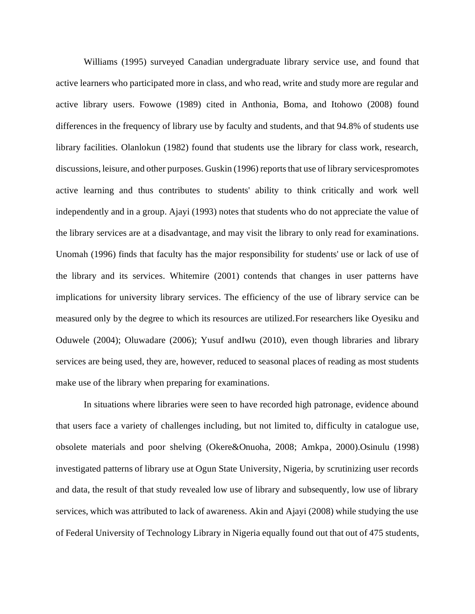Williams (1995) surveyed Canadian undergraduate library service use, and found that active learners who participated more in class, and who read, write and study more are regular and active library users. Fowowe (1989) cited in Anthonia, Boma, and Itohowo (2008) found differences in the frequency of library use by faculty and students, and that 94.8% of students use library facilities. Olanlokun (1982) found that students use the library for class work, research, discussions, leisure, and other purposes. Guskin (1996) reports that use of library servicespromotes active learning and thus contributes to students' ability to think critically and work well independently and in a group. Ajayi (1993) notes that students who do not appreciate the value of the library services are at a disadvantage, and may visit the library to only read for examinations. Unomah (1996) finds that faculty has the major responsibility for students' use or lack of use of the library and its services. Whitemire (2001) contends that changes in user patterns have implications for university library services. The efficiency of the use of library service can be measured only by the degree to which its resources are utilized.For researchers like Oyesiku and Oduwele (2004); Oluwadare (2006); Yusuf andIwu (2010), even though libraries and library services are being used, they are, however, reduced to seasonal places of reading as most students make use of the library when preparing for examinations.

In situations where libraries were seen to have recorded high patronage, evidence abound that users face a variety of challenges including, but not limited to, difficulty in catalogue use, obsolete materials and poor shelving (Okere&Onuoha, 2008; Amkpa, 2000).Osinulu (1998) investigated patterns of library use at Ogun State University, Nigeria, by scrutinizing user records and data, the result of that study revealed low use of library and subsequently, low use of library services, which was attributed to lack of awareness. Akin and Ajayi (2008) while studying the use of Federal University of Technology Library in Nigeria equally found out that out of 475 students,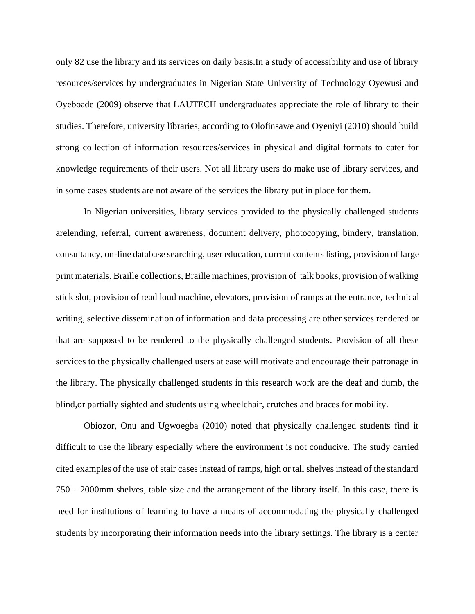only 82 use the library and its services on daily basis.In a study of accessibility and use of library resources/services by undergraduates in Nigerian State University of Technology Oyewusi and Oyeboade (2009) observe that LAUTECH undergraduates appreciate the role of library to their studies. Therefore, university libraries, according to Olofinsawe and Oyeniyi (2010) should build strong collection of information resources/services in physical and digital formats to cater for knowledge requirements of their users. Not all library users do make use of library services, and in some cases students are not aware of the services the library put in place for them.

In Nigerian universities, library services provided to the physically challenged students arelending, referral, current awareness, document delivery, photocopying, bindery, translation, consultancy, on-line database searching, user education, current contents listing, provision of large print materials. Braille collections, Braille machines, provision of talk books, provision of walking stick slot, provision of read loud machine, elevators, provision of ramps at the entrance, technical writing, selective dissemination of information and data processing are other services rendered or that are supposed to be rendered to the physically challenged students. Provision of all these services to the physically challenged users at ease will motivate and encourage their patronage in the library. The physically challenged students in this research work are the deaf and dumb, the blind,or partially sighted and students using wheelchair, crutches and braces for mobility.

Obiozor, Onu and Ugwoegba (2010) noted that physically challenged students find it difficult to use the library especially where the environment is not conducive. The study carried cited examples of the use of stair cases instead of ramps, high or tall shelves instead of the standard 750 – 2000mm shelves, table size and the arrangement of the library itself. In this case, there is need for institutions of learning to have a means of accommodating the physically challenged students by incorporating their information needs into the library settings. The library is a center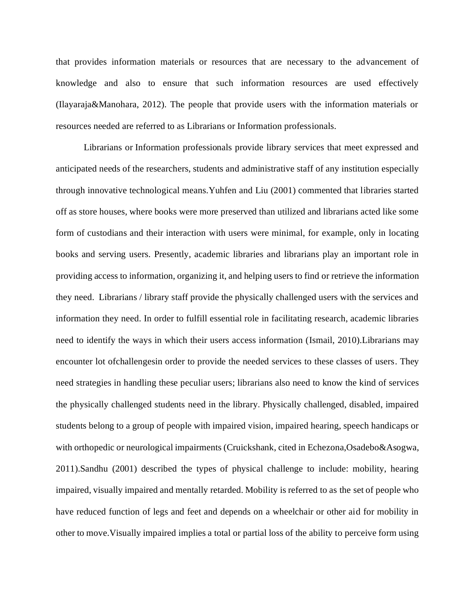that provides information materials or resources that are necessary to the advancement of knowledge and also to ensure that such information resources are used effectively (Ilayaraja&Manohara, 2012). The people that provide users with the information materials or resources needed are referred to as Librarians or Information professionals.

Librarians or Information professionals provide library services that meet expressed and anticipated needs of the researchers, students and administrative staff of any institution especially through innovative technological means.Yuhfen and Liu (2001) commented that libraries started off as store houses, where books were more preserved than utilized and librarians acted like some form of custodians and their interaction with users were minimal, for example, only in locating books and serving users. Presently, academic libraries and librarians play an important role in providing access to information, organizing it, and helping users to find or retrieve the information they need. Librarians / library staff provide the physically challenged users with the services and information they need. In order to fulfill essential role in facilitating research, academic libraries need to identify the ways in which their users access information (Ismail, 2010).Librarians may encounter lot ofchallengesin order to provide the needed services to these classes of users. They need strategies in handling these peculiar users; librarians also need to know the kind of services the physically challenged students need in the library. Physically challenged, disabled, impaired students belong to a group of people with impaired vision, impaired hearing, speech handicaps or with orthopedic or neurological impairments (Cruickshank, cited in Echezona,Osadebo&Asogwa, 2011).Sandhu (2001) described the types of physical challenge to include: mobility, hearing impaired, visually impaired and mentally retarded. Mobility is referred to as the set of people who have reduced function of legs and feet and depends on a wheelchair or other aid for mobility in other to move.Visually impaired implies a total or partial loss of the ability to perceive form using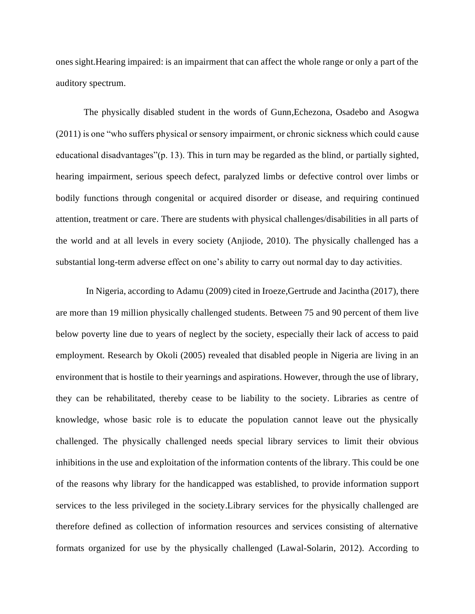ones sight.Hearing impaired: is an impairment that can affect the whole range or only a part of the auditory spectrum.

The physically disabled student in the words of Gunn,Echezona, Osadebo and Asogwa (2011) is one "who suffers physical or sensory impairment, or chronic sickness which could cause educational disadvantages"(p. 13). This in turn may be regarded as the blind, or partially sighted, hearing impairment, serious speech defect, paralyzed limbs or defective control over limbs or bodily functions through congenital or acquired disorder or disease, and requiring continued attention, treatment or care. There are students with physical challenges/disabilities in all parts of the world and at all levels in every society (Anjiode, 2010). The physically challenged has a substantial long-term adverse effect on one's ability to carry out normal day to day activities.

In Nigeria, according to Adamu (2009) cited in Iroeze,Gertrude and Jacintha (2017), there are more than 19 million physically challenged students. Between 75 and 90 percent of them live below poverty line due to years of neglect by the society, especially their lack of access to paid employment. Research by Okoli (2005) revealed that disabled people in Nigeria are living in an environment that is hostile to their yearnings and aspirations. However, through the use of library, they can be rehabilitated, thereby cease to be liability to the society. Libraries as centre of knowledge, whose basic role is to educate the population cannot leave out the physically challenged. The physically challenged needs special library services to limit their obvious inhibitions in the use and exploitation of the information contents of the library. This could be one of the reasons why library for the handicapped was established, to provide information support services to the less privileged in the society.Library services for the physically challenged are therefore defined as collection of information resources and services consisting of alternative formats organized for use by the physically challenged (Lawal-Solarin, 2012). According to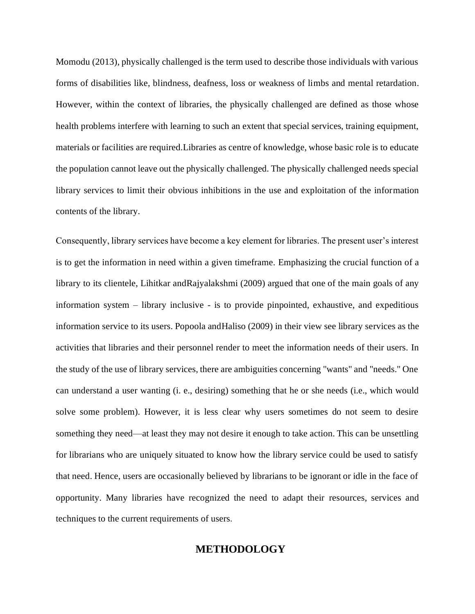Momodu (2013), physically challenged is the term used to describe those individuals with various forms of disabilities like, blindness, deafness, loss or weakness of limbs and mental retardation. However, within the context of libraries, the physically challenged are defined as those whose health problems interfere with learning to such an extent that special services, training equipment, materials or facilities are required.Libraries as centre of knowledge, whose basic role is to educate the population cannot leave out the physically challenged. The physically challenged needs special library services to limit their obvious inhibitions in the use and exploitation of the information contents of the library.

Consequently, library services have become a key element for libraries. The present user's interest is to get the information in need within a given timeframe. Emphasizing the crucial function of a library to its clientele, Lihitkar andRajyalakshmi (2009) argued that one of the main goals of any information system – library inclusive - is to provide pinpointed, exhaustive, and expeditious information service to its users. Popoola andHaliso (2009) in their view see library services as the activities that libraries and their personnel render to meet the information needs of their users. In the study of the use of library services, there are ambiguities concerning "wants" and "needs." One can understand a user wanting (i. e., desiring) something that he or she needs (i.e., which would solve some problem). However, it is less clear why users sometimes do not seem to desire something they need—at least they may not desire it enough to take action. This can be unsettling for librarians who are uniquely situated to know how the library service could be used to satisfy that need. Hence, users are occasionally believed by librarians to be ignorant or idle in the face of opportunity. Many libraries have recognized the need to adapt their resources, services and techniques to the current requirements of users.

### **METHODOLOGY**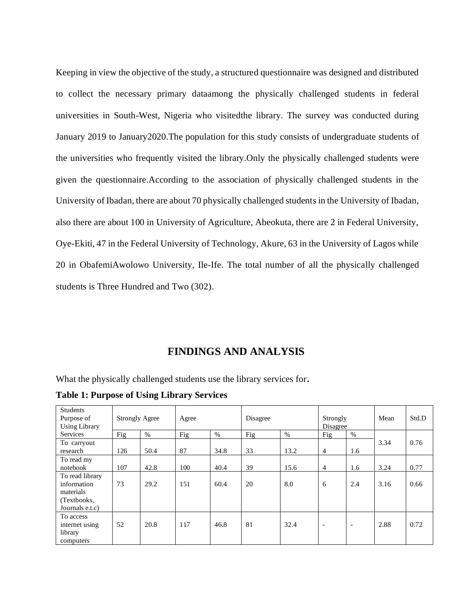Keeping in view the objective of the study, a structured questionnaire was designed and distributed to collect the necessary primary dataamong the physically challenged students in federal universities in South-West, Nigeria who visitedthe library. The survey was conducted during January 2019 to January2020.The population for this study consists of undergraduate students of the universities who frequently visited the library.Only the physically challenged students were given the questionnaire.According to the association of physically challenged students in the University of Ibadan, there are about 70 physically challenged students in the University of Ibadan, also there are about 100 in University of Agriculture, Abeokuta, there are 2 in Federal University, Oye-Ekiti, 47 in the Federal University of Technology, Akure, 63 in the University of Lagos while 20 in ObafemiAwolowo University, Ile-Ife. The total number of all the physically challenged students is Three Hundred and Two (302).

## **FINDINGS AND ANALYSIS**

What the physically challenged students use the library services for**.**

**Table 1: Purpose of Using Library Services**

| <b>Students</b><br>Purpose of<br><b>Using Library</b> | <b>Strongly Agree</b> |      | Agree |      | Disagree |      | Strongly<br>Disagree     |                          | Mean | Std.D |
|-------------------------------------------------------|-----------------------|------|-------|------|----------|------|--------------------------|--------------------------|------|-------|
| Services                                              | Fig                   | $\%$ | Fig   | %    | Fig      | $\%$ | Fig                      | $\%$                     |      |       |
| To carryout                                           |                       |      |       |      |          |      |                          |                          | 3.34 | 0.76  |
| research                                              | 126                   | 50.4 | 87    | 34.8 | 33       | 13.2 | $\overline{4}$           | 1.6                      |      |       |
| To read my                                            |                       |      |       |      |          |      |                          |                          |      |       |
| notebook                                              | 107                   | 42.8 | 100   | 40.4 | 39       | 15.6 | $\overline{4}$           | 1.6                      | 3.24 | 0.77  |
| To read library                                       |                       |      |       |      |          |      |                          |                          |      |       |
| information                                           | 73                    | 29.2 | 151   | 60.4 | 20       | 8.0  | 6                        | 2.4                      | 3.16 | 0.66  |
| materials                                             |                       |      |       |      |          |      |                          |                          |      |       |
| (Textbooks,                                           |                       |      |       |      |          |      |                          |                          |      |       |
| Journals e.t.c)                                       |                       |      |       |      |          |      |                          |                          |      |       |
| To access                                             |                       |      |       |      |          |      |                          |                          |      |       |
| internet using                                        | 52                    | 20.8 | 117   | 46.8 | 81       | 32.4 | $\overline{\phantom{a}}$ | $\overline{\phantom{0}}$ | 2.88 | 0.72  |
| library                                               |                       |      |       |      |          |      |                          |                          |      |       |
| computers                                             |                       |      |       |      |          |      |                          |                          |      |       |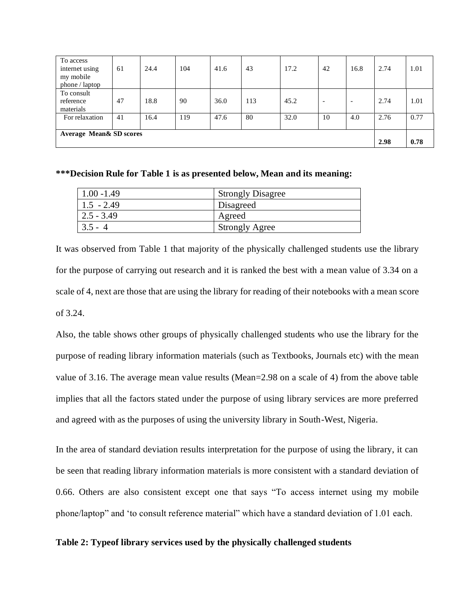| To access<br>internet using<br>my mobile<br>phone / laptop | 61 | 24.4 | 104 | 41.6 | 43  | 17.2 | 42                       | 16.8                     | 2.74 | 1.01 |
|------------------------------------------------------------|----|------|-----|------|-----|------|--------------------------|--------------------------|------|------|
| To consult<br>reference<br>materials                       | 47 | 18.8 | 90  | 36.0 | 113 | 45.2 | $\overline{\phantom{a}}$ | $\overline{\phantom{0}}$ | 2.74 | 1.01 |
| For relaxation                                             | 41 | 16.4 | 119 | 47.6 | 80  | 32.0 | 10                       | 4.0                      | 2.76 | 0.77 |
| <b>Average Mean&amp; SD scores</b>                         |    |      |     |      |     |      |                          |                          | 2.98 | 0.78 |

#### **\*\*\*Decision Rule for Table 1 is as presented below, Mean and its meaning:**

| $1.00 - 1.49$ | <b>Strongly Disagree</b> |
|---------------|--------------------------|
| $1.5 - 2.49$  | Disagreed                |
| $2.5 - 3.49$  | Agreed                   |
| $3.5 - 4$     | <b>Strongly Agree</b>    |

It was observed from Table 1 that majority of the physically challenged students use the library for the purpose of carrying out research and it is ranked the best with a mean value of 3.34 on a scale of 4, next are those that are using the library for reading of their notebooks with a mean score of 3.24.

Also, the table shows other groups of physically challenged students who use the library for the purpose of reading library information materials (such as Textbooks, Journals etc) with the mean value of 3.16. The average mean value results (Mean=2.98 on a scale of 4) from the above table implies that all the factors stated under the purpose of using library services are more preferred and agreed with as the purposes of using the university library in South-West, Nigeria.

In the area of standard deviation results interpretation for the purpose of using the library, it can be seen that reading library information materials is more consistent with a standard deviation of 0.66. Others are also consistent except one that says "To access internet using my mobile phone/laptop" and 'to consult reference material" which have a standard deviation of 1.01 each.

#### **Table 2: Typeof library services used by the physically challenged students**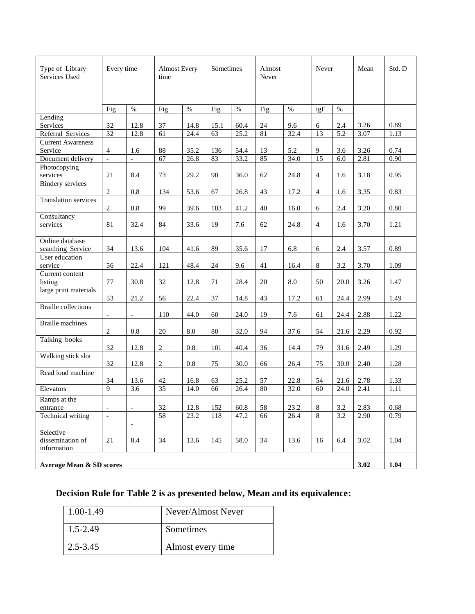| Type of Library<br>Services Used    | Every time               | <b>Almost Every</b><br>time |                |      | Sometimes |      | Almost<br>Never |      | Never          |         | Std. D |          |
|-------------------------------------|--------------------------|-----------------------------|----------------|------|-----------|------|-----------------|------|----------------|---------|--------|----------|
|                                     | Fig                      | $\%$                        | Fig            | $\%$ | Fig       | $\%$ | Fig             | $\%$ | igF            | $\%$    |        |          |
| Lending                             |                          |                             |                |      |           |      |                 |      |                |         |        |          |
| Services                            | 32                       | 12.8                        | 37             | 14.8 | 15.1      | 60.4 | 24              | 9.6  | 6              | 2.4     | 3.26   | 0.89     |
| Referral Services                   | 32                       | 12.8                        | 61             | 24.4 | 63        | 25.2 | 81              | 32.4 | 13             | 5.2     | 3.07   | 1.13     |
| <b>Current Awareness</b>            |                          |                             |                |      |           |      |                 |      |                |         |        |          |
| Service                             | $\overline{4}$           | 1.6                         | 88             | 35.2 | 136       | 54.4 | 13              | 5.2  | 9              | 3.6     | 3.26   | 0.74     |
| Document delivery                   | $\overline{a}$           | $\overline{a}$              | 67             | 26.8 | 83        | 33.2 | 85              | 34.0 | 15             | 6.0     | 2.81   | 0.90     |
| Photocopying                        |                          |                             |                |      |           |      |                 |      |                |         |        |          |
| services                            | 21                       | 8.4                         | 73             | 29.2 | 90        | 36.0 | 62              | 24.8 | 4              | 1.6     | 3.18   | 0.95     |
| <b>Bindery</b> services             |                          |                             |                |      |           |      |                 |      |                |         |        |          |
|                                     | 2                        | 0.8                         | 134            | 53.6 | 67        | 26.8 | 43              | 17.2 | $\overline{4}$ | 1.6     | 3.35   | 0.83     |
| <b>Translation services</b>         |                          |                             |                |      |           |      |                 |      |                |         |        |          |
|                                     | 2                        | 0.8                         | 99             | 39.6 | 103       | 41.2 | 40              | 16.0 | 6              | 2.4     | 3.20   | 0.80     |
| Consultancy                         |                          |                             |                |      |           |      |                 |      |                |         |        |          |
| services                            | 81                       | 32.4                        | 84             | 33.6 | 19        | 7.6  | 62              | 24.8 | $\overline{4}$ | 1.6     | 3.70   | 1.21     |
|                                     |                          |                             |                |      |           |      |                 |      |                |         |        |          |
| Online database                     | 34                       | 13.6                        | 104            | 41.6 | 89        | 35.6 | 17              | 6.8  | 6              | 2.4     |        | 0.89     |
| searching Service<br>User education |                          |                             |                |      |           |      |                 |      |                |         | 3.57   |          |
| service                             | 56                       | 22.4                        | 121            | 48.4 | 24        | 9.6  | 41              | 16.4 | 8              | 3.2     | 3.70   | 1.09     |
| Current content                     |                          |                             |                |      |           |      |                 |      |                |         |        |          |
| listing                             | 77                       | 30.8                        | 32             | 12.8 | 71        | 28.4 | 20              | 8.0  | 50             | 20.0    | 3.26   | 1.47     |
| large print materials               |                          |                             |                |      |           |      |                 |      |                |         |        |          |
|                                     | 53                       | 21.2                        | 56             | 22.4 | 37        | 14.8 | 43              | 17.2 | 61             | 24.4    | 2.99   | 1.49     |
| <b>Braille collections</b>          |                          |                             |                |      |           |      |                 |      |                |         |        |          |
|                                     | $\blacksquare$           | $\overline{\phantom{a}}$    | 110            | 44.0 | 60        | 24.0 | 19              | 7.6  | 61             | 24.4    | 2.88   | 1.22     |
| <b>Braille</b> machines             |                          |                             |                |      |           |      |                 |      |                |         |        |          |
|                                     | $\mathfrak{2}$           | 0.8                         | 20             | 8.0  | 80        | 32.0 | 94              | 37.6 | 54             | 21.6    | 2.29   | 0.92     |
| Talking books                       |                          |                             |                |      |           |      |                 |      |                |         |        |          |
|                                     | 32                       | 12.8                        | $\overline{2}$ | 0.8  | 101       | 40.4 | 36              | 14.4 | 79             | 31.6    | 2.49   | 1.29     |
| Walking stick slot                  |                          |                             |                |      |           |      |                 |      |                |         |        |          |
|                                     | 32                       | 12.8                        | $\overline{c}$ | 0.8  | 75        | 30.0 | 66              | 26.4 | 75             | 30.0    | 2.40   | 1.28     |
| Read loud machine                   |                          |                             |                |      |           |      |                 |      |                |         |        |          |
|                                     | 34                       | 13.6                        | 42             | 16.8 | 63        | 25.2 | 57              | 22.8 | 54             | 21.6    | 2.78   | 1.33     |
| Elevators                           | 9                        | 3.6                         | 35             | 14.0 | 66        | 26.4 | 80              | 32.0 | 60             | 24.0    | 2.41   | 1.11     |
| Ramps at the                        |                          |                             |                |      |           |      |                 |      |                |         |        |          |
| entrance                            | $\overline{\phantom{a}}$ | $\overline{\phantom{0}}$    | 32             | 12.8 | 152       | 60.8 | $58\,$          | 23.2 | $8\,$          | $3.2\,$ | 2.83   | $0.68\,$ |
| Technical writing                   | $\overline{\phantom{a}}$ |                             | 58             | 23.2 | 118       | 47.2 | 66              | 26.4 | 8              | 3.2     | 2.90   | 0.79     |
|                                     |                          |                             |                |      |           |      |                 |      |                |         |        |          |
| Selective                           |                          |                             |                |      |           |      |                 |      |                |         |        |          |
| dissemination of                    | 21                       | 8.4                         | 34             | 13.6 | 145       | 58.0 | 34              | 13.6 | 16             | 6.4     | 3.02   | 1.04     |
| information                         |                          |                             |                |      |           |      |                 |      |                |         |        |          |
|                                     |                          |                             |                |      |           |      |                 |      |                |         |        |          |
| <b>Average Mean &amp; SD scores</b> |                          |                             |                |      |           |      |                 |      |                |         | 3.02   | 1.04     |

## **Decision Rule for Table 2 is as presented below, Mean and its equivalence:**

| $1.00 - 1.49$ | Never/Almost Never |
|---------------|--------------------|
| $1.5 - 2.49$  | Sometimes          |
| $2.5 - 3.45$  | Almost every time  |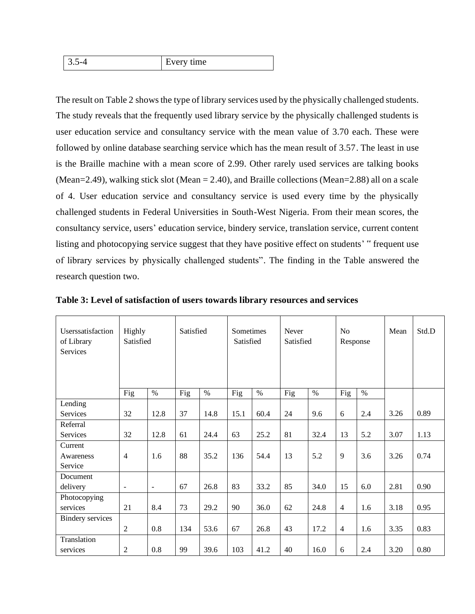|  | 1ma<br><br>$\overline{\phantom{a}}$<br>$\overline{\phantom{0}}$ |
|--|-----------------------------------------------------------------|
|--|-----------------------------------------------------------------|

The result on Table 2 shows the type of library services used by the physically challenged students. The study reveals that the frequently used library service by the physically challenged students is user education service and consultancy service with the mean value of 3.70 each. These were followed by online database searching service which has the mean result of 3.57. The least in use is the Braille machine with a mean score of 2.99. Other rarely used services are talking books (Mean=2.49), walking stick slot (Mean = 2.40), and Braille collections (Mean=2.88) all on a scale of 4. User education service and consultancy service is used every time by the physically challenged students in Federal Universities in South-West Nigeria. From their mean scores, the consultancy service, users' education service, bindery service, translation service, current content listing and photocopying service suggest that they have positive effect on students' " frequent use of library services by physically challenged students". The finding in the Table answered the research question two.

| Userssatisfaction<br>of Library<br>Services | Highly<br>Satisfied      |                          | Satisfied |      | Sometimes<br>Satisfied |      | Never<br>Satisfied |      | N <sub>0</sub><br>Response |      | Mean | Std.D |
|---------------------------------------------|--------------------------|--------------------------|-----------|------|------------------------|------|--------------------|------|----------------------------|------|------|-------|
|                                             | Fig                      | $\%$                     | Fig       | $\%$ | Fig                    | $\%$ | Fig                | $\%$ | Fig                        | $\%$ |      |       |
| Lending                                     |                          |                          |           |      |                        |      |                    |      |                            |      |      |       |
| Services                                    | 32                       | 12.8                     | 37        | 14.8 | 15.1                   | 60.4 | 24                 | 9.6  | 6                          | 2.4  | 3.26 | 0.89  |
| Referral                                    |                          |                          |           |      |                        |      |                    |      |                            |      |      |       |
| Services                                    | 32                       | 12.8                     | 61        | 24.4 | 63                     | 25.2 | 81                 | 32.4 | 13                         | 5.2  | 3.07 | 1.13  |
| Current                                     |                          |                          |           |      |                        |      |                    |      |                            |      |      |       |
| Awareness                                   | $\overline{4}$           | 1.6                      | 88        | 35.2 | 136                    | 54.4 | 13                 | 5.2  | 9                          | 3.6  | 3.26 | 0.74  |
| Service                                     |                          |                          |           |      |                        |      |                    |      |                            |      |      |       |
| Document                                    |                          |                          |           |      |                        |      |                    |      |                            |      |      |       |
| delivery                                    | $\overline{\phantom{a}}$ | $\overline{\phantom{a}}$ | 67        | 26.8 | 83                     | 33.2 | 85                 | 34.0 | 15                         | 6.0  | 2.81 | 0.90  |
| Photocopying                                |                          |                          |           |      |                        |      |                    |      |                            |      |      |       |
| services                                    | 21                       | 8.4                      | 73        | 29.2 | 90                     | 36.0 | 62                 | 24.8 | $\overline{4}$             | 1.6  | 3.18 | 0.95  |
| <b>Bindery services</b>                     |                          |                          |           |      |                        |      |                    |      |                            |      |      |       |
|                                             | $\overline{2}$           | 0.8                      | 134       | 53.6 | 67                     | 26.8 | 43                 | 17.2 | $\overline{4}$             | 1.6  | 3.35 | 0.83  |
| Translation                                 |                          |                          |           |      |                        |      |                    |      |                            |      |      |       |
| services                                    | 2                        | 0.8                      | 99        | 39.6 | 103                    | 41.2 | 40                 | 16.0 | 6                          | 2.4  | 3.20 | 0.80  |

**Table 3: Level of satisfaction of users towards library resources and services**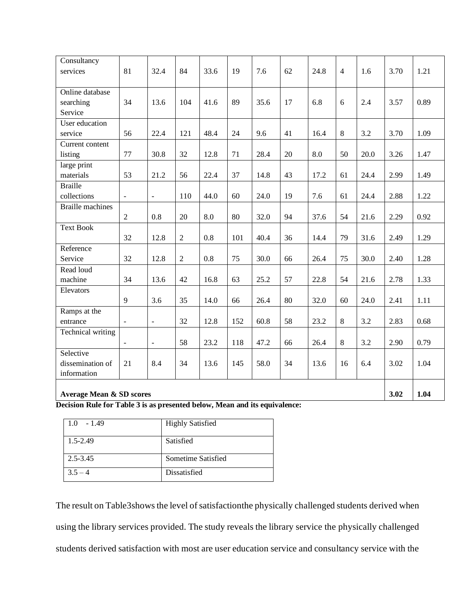| Consultancy<br>services                 | 81                       | 32.4           | 84             | 33.6 | 19  | 7.6  | 62 | 24.8 | $\overline{4}$ | 1.6  | 3.70 | 1.21 |
|-----------------------------------------|--------------------------|----------------|----------------|------|-----|------|----|------|----------------|------|------|------|
| Online database<br>searching<br>Service | 34                       | 13.6           | 104            | 41.6 | 89  | 35.6 | 17 | 6.8  | 6              | 2.4  | 3.57 | 0.89 |
| User education                          |                          |                |                |      |     |      |    |      |                |      |      |      |
| service                                 | 56                       | 22.4           | 121            | 48.4 | 24  | 9.6  | 41 | 16.4 | 8              | 3.2  | 3.70 | 1.09 |
| Current content                         |                          |                |                |      |     |      |    |      |                |      |      |      |
| listing                                 | 77                       | 30.8           | 32             | 12.8 | 71  | 28.4 | 20 | 8.0  | 50             | 20.0 | 3.26 | 1.47 |
| large print                             |                          |                |                |      |     |      |    |      |                |      |      |      |
| materials                               | 53                       | 21.2           | 56             | 22.4 | 37  | 14.8 | 43 | 17.2 | 61             | 24.4 | 2.99 | 1.49 |
| <b>Braille</b>                          |                          |                |                |      |     |      |    |      |                |      |      |      |
| collections                             | $\overline{\phantom{a}}$ | $\Box$         | 110            | 44.0 | 60  | 24.0 | 19 | 7.6  | 61             | 24.4 | 2.88 | 1.22 |
| <b>Braille</b> machines                 |                          |                |                |      |     |      |    |      |                |      |      |      |
|                                         | $\sqrt{2}$               | 0.8            | 20             | 8.0  | 80  | 32.0 | 94 | 37.6 | 54             | 21.6 | 2.29 | 0.92 |
| <b>Text Book</b>                        |                          |                |                |      |     |      |    |      |                |      |      |      |
|                                         | 32                       | 12.8           | $\overline{2}$ | 0.8  | 101 | 40.4 | 36 | 14.4 | 79             | 31.6 | 2.49 | 1.29 |
| Reference                               |                          |                |                |      |     |      |    |      |                |      |      |      |
| Service                                 | 32                       | 12.8           | $\overline{2}$ | 0.8  | 75  | 30.0 | 66 | 26.4 | 75             | 30.0 | 2.40 | 1.28 |
| Read loud                               |                          |                |                |      |     |      |    |      |                |      |      |      |
| machine                                 | 34                       | 13.6           | 42             | 16.8 | 63  | 25.2 | 57 | 22.8 | 54             | 21.6 | 2.78 | 1.33 |
| Elevators                               |                          |                |                |      |     |      |    |      |                |      |      |      |
|                                         | 9                        | 3.6            | 35             | 14.0 | 66  | 26.4 | 80 | 32.0 | 60             | 24.0 | 2.41 | 1.11 |
| Ramps at the                            |                          |                |                |      |     |      |    |      |                |      |      |      |
| entrance                                | $\overline{a}$           | $\Box$         | 32             | 12.8 | 152 | 60.8 | 58 | 23.2 | $8\,$          | 3.2  | 2.83 | 0.68 |
| Technical writing                       |                          |                |                |      |     |      |    |      |                |      |      |      |
|                                         | $\blacksquare$           | $\blacksquare$ | 58             | 23.2 | 118 | 47.2 | 66 | 26.4 | $8\,$          | 3.2  | 2.90 | 0.79 |
| Selective                               |                          |                |                |      |     |      |    |      |                |      |      |      |
| dissemination of                        | 21                       | 8.4            | 34             | 13.6 | 145 | 58.0 | 34 | 13.6 | 16             | 6.4  | 3.02 | 1.04 |
| information                             |                          |                |                |      |     |      |    |      |                |      |      |      |
|                                         |                          |                |                |      |     |      |    |      |                |      |      |      |
| <b>Average Mean &amp; SD scores</b>     |                          |                |                |      |     |      |    |      |                |      | 3.02 | 1.04 |

**Decision Rule for Table 3 is as presented below, Mean and its equivalence:**

| $-1.49$<br>1.0 | <b>Highly Satisfied</b> |
|----------------|-------------------------|
| $1.5 - 2.49$   | Satisfied               |
| $2.5 - 3.45$   | Sometime Satisfied      |
| $3.5 - 4$      | Dissatisfied            |

The result on Table3shows the level of satisfactionthe physically challenged students derived when using the library services provided. The study reveals the library service the physically challenged students derived satisfaction with most are user education service and consultancy service with the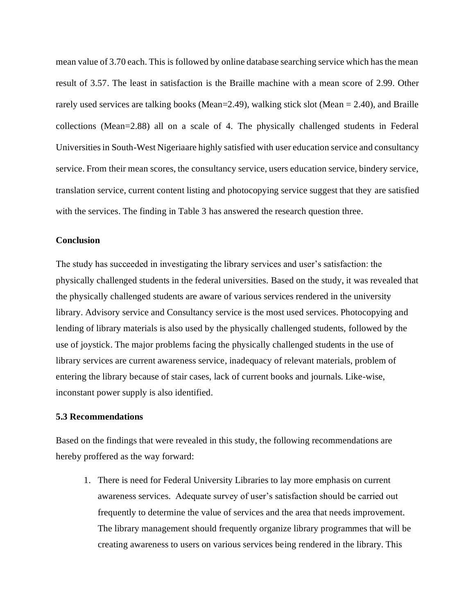mean value of 3.70 each. This is followed by online database searching service which has the mean result of 3.57. The least in satisfaction is the Braille machine with a mean score of 2.99. Other rarely used services are talking books (Mean=2.49), walking stick slot (Mean = 2.40), and Braille collections (Mean=2.88) all on a scale of 4. The physically challenged students in Federal Universities in South-West Nigeriaare highly satisfied with user education service and consultancy service. From their mean scores, the consultancy service, users education service, bindery service, translation service, current content listing and photocopying service suggest that they are satisfied with the services. The finding in Table 3 has answered the research question three.

#### **Conclusion**

The study has succeeded in investigating the library services and user's satisfaction: the physically challenged students in the federal universities. Based on the study, it was revealed that the physically challenged students are aware of various services rendered in the university library. Advisory service and Consultancy service is the most used services. Photocopying and lending of library materials is also used by the physically challenged students, followed by the use of joystick. The major problems facing the physically challenged students in the use of library services are current awareness service, inadequacy of relevant materials, problem of entering the library because of stair cases, lack of current books and journals. Like-wise, inconstant power supply is also identified.

#### **5.3 Recommendations**

Based on the findings that were revealed in this study, the following recommendations are hereby proffered as the way forward:

1. There is need for Federal University Libraries to lay more emphasis on current awareness services. Adequate survey of user's satisfaction should be carried out frequently to determine the value of services and the area that needs improvement. The library management should frequently organize library programmes that will be creating awareness to users on various services being rendered in the library. This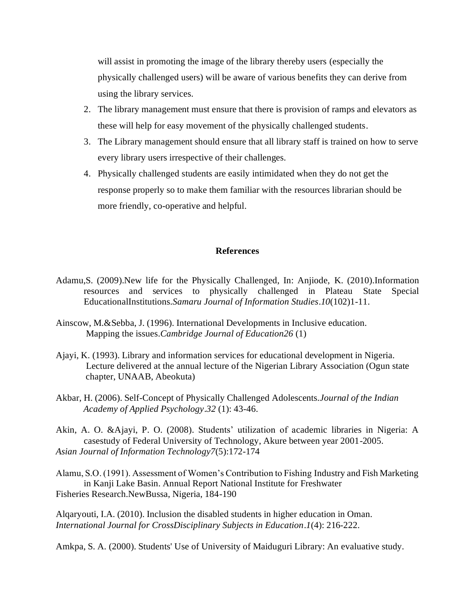will assist in promoting the image of the library thereby users (especially the physically challenged users) will be aware of various benefits they can derive from using the library services.

- 2. The library management must ensure that there is provision of ramps and elevators as these will help for easy movement of the physically challenged students.
- 3. The Library management should ensure that all library staff is trained on how to serve every library users irrespective of their challenges.
- 4. Physically challenged students are easily intimidated when they do not get the response properly so to make them familiar with the resources librarian should be more friendly, co-operative and helpful.

#### **References**

- Adamu,S. (2009).New life for the Physically Challenged, In: Anjiode, K. (2010).Information resources and services to physically challenged in Plateau State Special EducationalInstitutions*.Samaru Journal of Information Studies*.*10*(102)1-11.
- Ainscow, M.&Sebba, J. (1996). International Developments in Inclusive education. Mapping the issues.*Cambridge Journal of Education26* (1)
- Ajayi, K. (1993). Library and information services for educational development in Nigeria. Lecture delivered at the annual lecture of the Nigerian Library Association (Ogun state chapter, UNAAB, Abeokuta)
- Akbar, H. (2006). Self-Concept of Physically Challenged Adolescents.*Journal of the Indian Academy of Applied Psychology*.*32* (1): 43-46.
- Akin, A. O. &Ajayi, P. O. (2008). Students' utilization of academic libraries in Nigeria: A casestudy of Federal University of Technology, Akure between year 2001-2005. *Asian Journal of Information Technology7*(5):172-174
- Alamu, S.O. (1991). Assessment of Women's Contribution to Fishing Industry and Fish Marketing in Kanji Lake Basin. Annual Report National Institute for Freshwater Fisheries Research.NewBussa, Nigeria, 184-190

Alqaryouti, I.A. (2010). Inclusion the disabled students in higher education in Oman. *International Journal for CrossDisciplinary Subjects in Education*.*1*(4): 216-222.

Amkpa, S. A. (2000). Students' Use of University of Maiduguri Library: An evaluative study.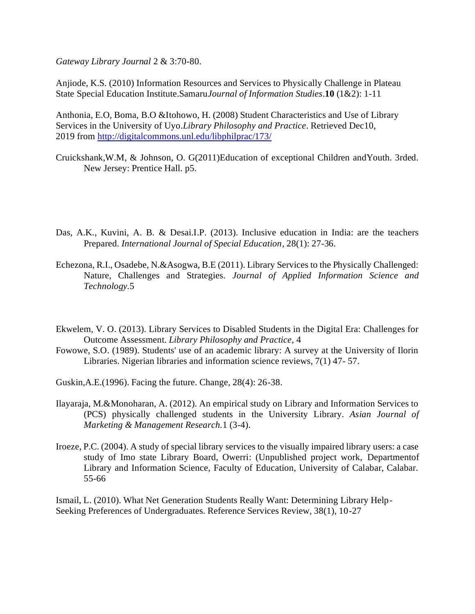*Gateway Library Journal* 2 & 3:70-80.

Anjiode, K.S. (2010) Information Resources and Services to Physically Challenge in Plateau State Special Education Institute.Samaru*Journal of Information Studies*.**10** (1&2): 1-11

Anthonia, E.O, Boma, B.O &Itohowo, H. (2008) Student Characteristics and Use of Library Services in the University of Uyo.*Library Philosophy and Practice*. Retrieved Dec10, 2019 from<http://digitalcommons.unl.edu/libphilprac/173/>

- Cruickshank,W.M, & Johnson, O. G(2011)Education of exceptional Children andYouth. 3rded. New Jersey: Prentice Hall. p5.
- Das, A.K., Kuvini, A. B. & Desai.I.P. (2013). Inclusive education in India: are the teachers Prepared. *International Journal of Special Education*, 28(1): 27-36.
- Echezona, R.I., Osadebe, N.&Asogwa, B.E (2011). Library Services to the Physically Challenged: Nature, Challenges and Strategies. *Journal of Applied Information Science and Technology.*5
- Ekwelem, V. O. (2013). Library Services to Disabled Students in the Digital Era: Challenges for Outcome Assessment. *Library Philosophy and Practice,* 4
- Fowowe, S.O. (1989). Students' use of an academic library: A survey at the University of Ilorin Libraries. Nigerian libraries and information science reviews, 7(1) 47- 57.
- Guskin,A.E.(1996). Facing the future. Change, 28(4): 26-38.
- Ilayaraja, M.&Monoharan, A. (2012). An empirical study on Library and Information Services to (PCS) physically challenged students in the University Library. *Asian Journal of Marketing & Management Research.*1 (3-4).
- Iroeze, P.C. (2004). A study of special library services to the visually impaired library users: a case study of Imo state Library Board, Owerri: (Unpublished project work, Departmentof Library and Information Science, Faculty of Education, University of Calabar, Calabar. 55-66

Ismail, L. (2010). What Net Generation Students Really Want: Determining Library Help-Seeking Preferences of Undergraduates. Reference Services Review, 38(1), 10-27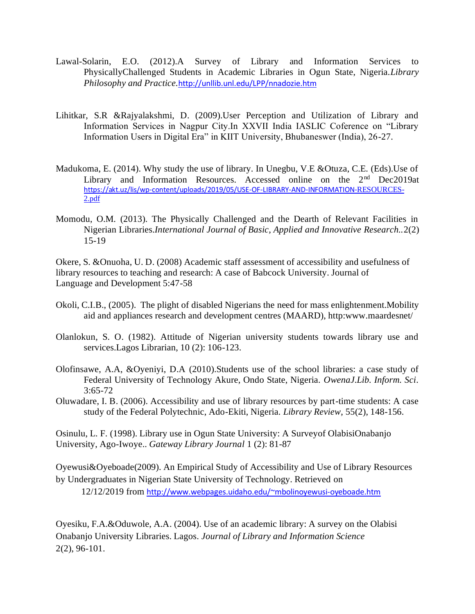- Lawal-Solarin, E.O. (2012).A Survey of Library and Information Services to PhysicallyChallenged Students in Academic Libraries in Ogun State, Nigeria.*Library Philosophy and Practice.*<http://unllib.unl.edu/LPP/nnadozie.htm>
- Lihitkar, S.R &Rajyalakshmi, D. (2009).User Perception and Utilization of Library and Information Services in Nagpur City.In XXVII India IASLIC Coference on "Library Information Users in Digital Era" in KIIT University, Bhubaneswer (India), 26-27.
- Madukoma, E. (2014). Why study the use of library. In Unegbu, V.E &Otuza, C.E. (Eds).Use of Library and Information Resources. Accessed online on the 2<sup>nd</sup> Dec2019at [https://akt.uz/lis/wp-content/uploads/2019/05/USE-OF-LIBRARY-AND-INFORMATION-](https://akt.uz/lis/wp-content/uploads/2019/05/USE-OF-LIBRARY-AND-INFORMATION-RESOURCES-2.pdf)RESOURCE[S-](https://akt.uz/lis/wp-content/uploads/2019/05/USE-OF-LIBRARY-AND-INFORMATION-RESOURCES-2.pdf)[2.pdf](https://akt.uz/lis/wp-content/uploads/2019/05/USE-OF-LIBRARY-AND-INFORMATION-RESOURCES-2.pdf)
- Momodu, O.M. (2013). The Physically Challenged and the Dearth of Relevant Facilities in Nigerian Libraries.*International Journal of Basic, Applied and Innovative Research..*2(2) 15-19

Okere, S. &Onuoha, U. D. (2008) Academic staff assessment of accessibility and usefulness of library resources to teaching and research: A case of Babcock University. Journal of Language and Development 5:47-58

- Okoli, C.I.B., (2005). The plight of disabled Nigerians the need for mass enlightenment.Mobility aid and appliances research and development centres (MAARD), http:www.maardesnet/
- Olanlokun, S. O. (1982). Attitude of Nigerian university students towards library use and services.Lagos Librarian, 10 (2): 106-123.
- Olofinsawe, A.A, &Oyeniyi, D.A (2010).Students use of the school libraries: a case study of Federal University of Technology Akure, Ondo State, Nigeria. *OwenaJ.Lib. Inform. Sci*. 3:65-72
- Oluwadare, I. B. (2006). Accessibility and use of library resources by part-time students: A case study of the Federal Polytechnic, Ado-Ekiti, Nigeria. *Library Review*, 55(2), 148-156.

Osinulu, L. F. (1998). Library use in Ogun State University: A Surveyof OlabisiOnabanjo University, Ago-Iwoye.. *Gateway Library Journal* 1 (2): 81-87

Oyewusi&Oyeboade(2009). An Empirical Study of Accessibility and Use of Library Resources by Undergraduates in Nigerian State University of Technology. Retrieved on 12/12/2019 from <http://www.webpages.uidaho.edu/~mbolinoyewusi-oyeboade.htm>

Oyesiku, F.A.&Oduwole, A.A. (2004). Use of an academic library: A survey on the Olabisi Onabanjo University Libraries. Lagos. *Journal of Library and Information Science*  2(2), 96-101.